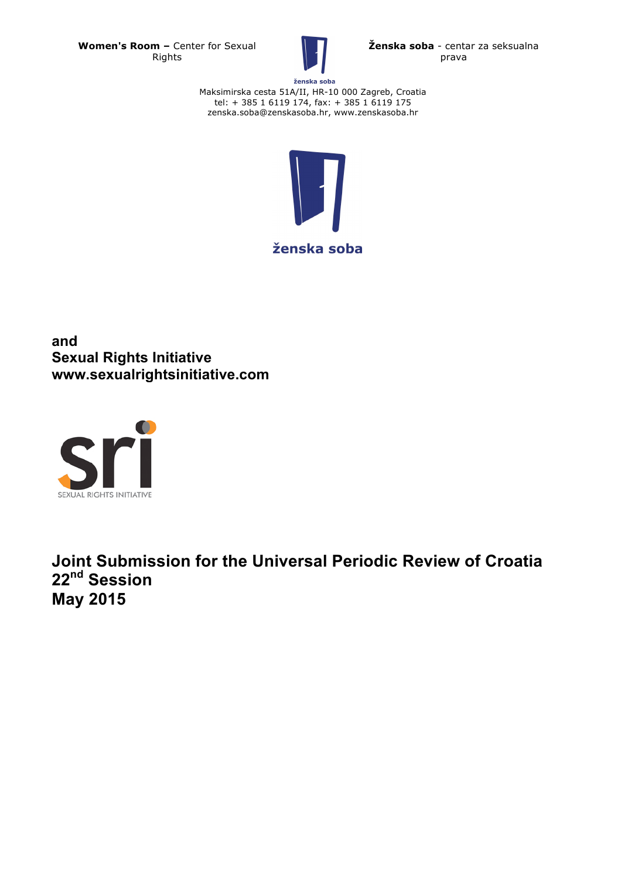**Women's Room –** Center for Sexual Rights



**Ženska soba** - centar za seksualna prava

ženska soba Maksimirska cesta 51A/II, HR-10 000 Zagreb, Croatia tel: + 385 1 6119 174, fax: + 385 1 6119 175 zenska.soba@zenskasoba.hr, www.zenskasoba.hr



**and Sexual Rights Initiative www.sexualrightsinitiative.com**



**Joint Submission for the Universal Periodic Review of Croatia 22nd Session May 2015**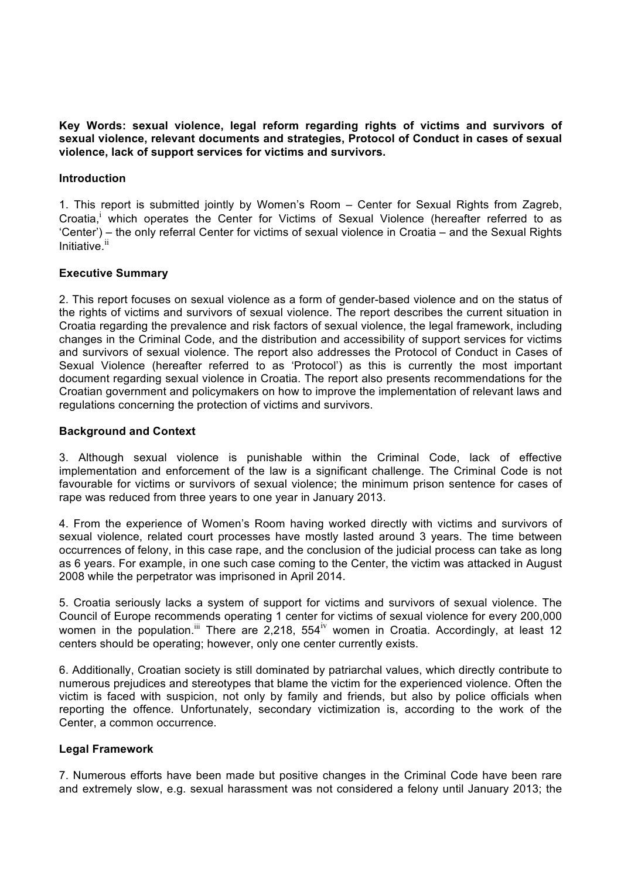**Key Words: sexual violence, legal reform regarding rights of victims and survivors of sexual violence, relevant documents and strategies, Protocol of Conduct in cases of sexual violence, lack of support services for victims and survivors.**

## **Introduction**

1. This report is submitted jointly by Women's Room – Center for Sexual Rights from Zagreb, Croatia,<sup>i</sup> which operates the Center for Victims of Sexual Violence (hereafter referred to as 'Center') – the only referral Center for victims of sexual violence in Croatia – and the Sexual Rights Initiative.<sup>ii</sup>

# **Executive Summary**

2. This report focuses on sexual violence as a form of gender-based violence and on the status of the rights of victims and survivors of sexual violence. The report describes the current situation in Croatia regarding the prevalence and risk factors of sexual violence, the legal framework, including changes in the Criminal Code, and the distribution and accessibility of support services for victims and survivors of sexual violence. The report also addresses the Protocol of Conduct in Cases of Sexual Violence (hereafter referred to as 'Protocol') as this is currently the most important document regarding sexual violence in Croatia. The report also presents recommendations for the Croatian government and policymakers on how to improve the implementation of relevant laws and regulations concerning the protection of victims and survivors.

## **Background and Context**

3. Although sexual violence is punishable within the Criminal Code, lack of effective implementation and enforcement of the law is a significant challenge. The Criminal Code is not favourable for victims or survivors of sexual violence; the minimum prison sentence for cases of rape was reduced from three years to one year in January 2013.

4. From the experience of Women's Room having worked directly with victims and survivors of sexual violence, related court processes have mostly lasted around 3 years. The time between occurrences of felony, in this case rape, and the conclusion of the judicial process can take as long as 6 years. For example, in one such case coming to the Center, the victim was attacked in August 2008 while the perpetrator was imprisoned in April 2014.

5. Croatia seriously lacks a system of support for victims and survivors of sexual violence. The Council of Europe recommends operating 1 center for victims of sexual violence for every 200,000 women in the population.<sup>iii</sup> There are 2,218, 554<sup>iv</sup> women in Croatia. Accordingly, at least 12 centers should be operating; however, only one center currently exists.

6. Additionally, Croatian society is still dominated by patriarchal values, which directly contribute to numerous prejudices and stereotypes that blame the victim for the experienced violence. Often the victim is faced with suspicion, not only by family and friends, but also by police officials when reporting the offence. Unfortunately, secondary victimization is, according to the work of the Center, a common occurrence.

# **Legal Framework**

7. Numerous efforts have been made but positive changes in the Criminal Code have been rare and extremely slow, e.g. sexual harassment was not considered a felony until January 2013; the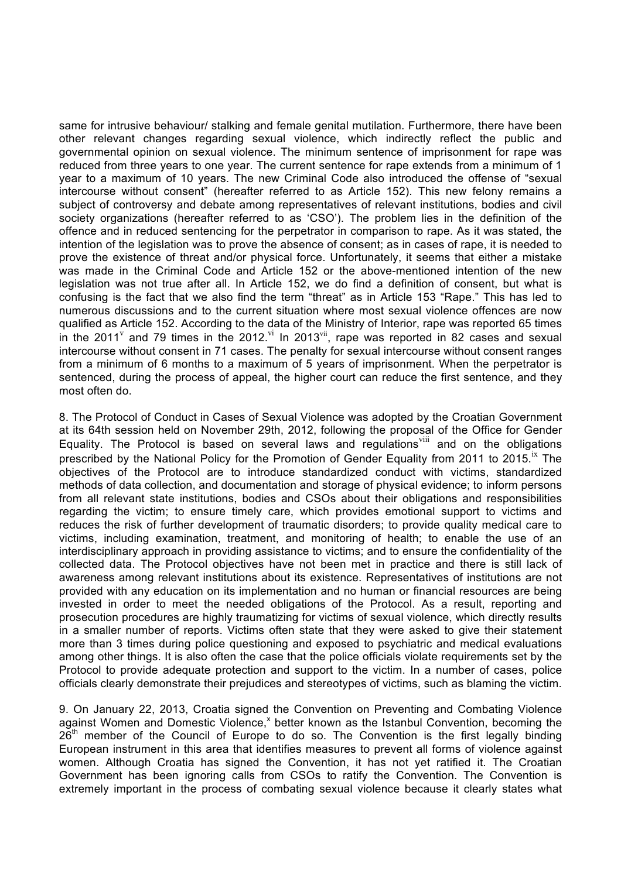same for intrusive behaviour/ stalking and female genital mutilation. Furthermore, there have been other relevant changes regarding sexual violence, which indirectly reflect the public and governmental opinion on sexual violence. The minimum sentence of imprisonment for rape was reduced from three years to one year. The current sentence for rape extends from a minimum of 1 year to a maximum of 10 years. The new Criminal Code also introduced the offense of "sexual intercourse without consent" (hereafter referred to as Article 152). This new felony remains a subject of controversy and debate among representatives of relevant institutions, bodies and civil society organizations (hereafter referred to as 'CSO'). The problem lies in the definition of the offence and in reduced sentencing for the perpetrator in comparison to rape. As it was stated, the intention of the legislation was to prove the absence of consent; as in cases of rape, it is needed to prove the existence of threat and/or physical force. Unfortunately, it seems that either a mistake was made in the Criminal Code and Article 152 or the above-mentioned intention of the new legislation was not true after all. In Article 152, we do find a definition of consent, but what is confusing is the fact that we also find the term "threat" as in Article 153 "Rape." This has led to numerous discussions and to the current situation where most sexual violence offences are now qualified as Article 152. According to the data of the Ministry of Interior, rape was reported 65 times in the 2011<sup>v</sup> and 79 times in the 2012.<sup>vi</sup> In 2013<sup>vii</sup>, rape was reported in 82 cases and sexual intercourse without consent in 71 cases. The penalty for sexual intercourse without consent ranges from a minimum of 6 months to a maximum of 5 years of imprisonment. When the perpetrator is sentenced, during the process of appeal, the higher court can reduce the first sentence, and they most often do.

8. The Protocol of Conduct in Cases of Sexual Violence was adopted by the Croatian Government at its 64th session held on November 29th, 2012, following the proposal of the Office for Gender Equality. The Protocol is based on several laws and regulations<sup>viii</sup> and on the obligations prescribed by the National Policy for the Promotion of Gender Equality from 2011 to 2015. Ix The objectives of the Protocol are to introduce standardized conduct with victims, standardized methods of data collection, and documentation and storage of physical evidence; to inform persons from all relevant state institutions, bodies and CSOs about their obligations and responsibilities regarding the victim; to ensure timely care, which provides emotional support to victims and reduces the risk of further development of traumatic disorders; to provide quality medical care to victims, including examination, treatment, and monitoring of health; to enable the use of an interdisciplinary approach in providing assistance to victims; and to ensure the confidentiality of the collected data. The Protocol objectives have not been met in practice and there is still lack of awareness among relevant institutions about its existence. Representatives of institutions are not provided with any education on its implementation and no human or financial resources are being invested in order to meet the needed obligations of the Protocol. As a result, reporting and prosecution procedures are highly traumatizing for victims of sexual violence, which directly results in a smaller number of reports. Victims often state that they were asked to give their statement more than 3 times during police questioning and exposed to psychiatric and medical evaluations among other things. It is also often the case that the police officials violate requirements set by the Protocol to provide adequate protection and support to the victim. In a number of cases, police officials clearly demonstrate their prejudices and stereotypes of victims, such as blaming the victim.

9. On January 22, 2013, Croatia signed the Convention on Preventing and Combating Violence against Women and Domestic Violence,<sup>x</sup> better known as the Istanbul Convention, becoming the  $26<sup>th</sup>$  member of the Council of Europe to do so. The Convention is the first legally binding European instrument in this area that identifies measures to prevent all forms of violence against women. Although Croatia has signed the Convention, it has not yet ratified it. The Croatian Government has been ignoring calls from CSOs to ratify the Convention. The Convention is extremely important in the process of combating sexual violence because it clearly states what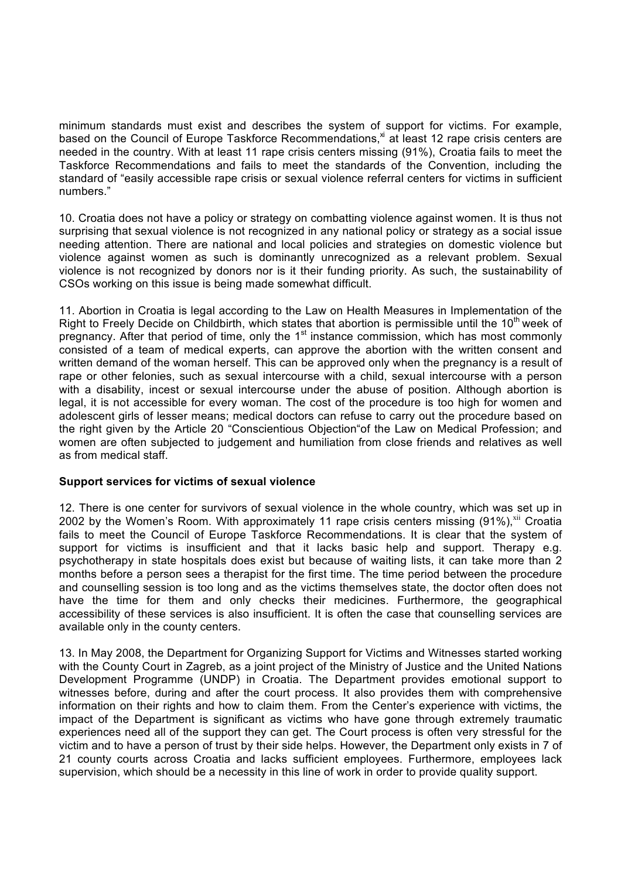minimum standards must exist and describes the system of support for victims. For example, based on the Council of Europe Taskforce Recommendations,<sup>xi</sup> at least 12 rape crisis centers are needed in the country. With at least 11 rape crisis centers missing (91%), Croatia fails to meet the Taskforce Recommendations and fails to meet the standards of the Convention, including the standard of "easily accessible rape crisis or sexual violence referral centers for victims in sufficient numbers."

10. Croatia does not have a policy or strategy on combatting violence against women. It is thus not surprising that sexual violence is not recognized in any national policy or strategy as a social issue needing attention. There are national and local policies and strategies on domestic violence but violence against women as such is dominantly unrecognized as a relevant problem. Sexual violence is not recognized by donors nor is it their funding priority. As such, the sustainability of CSOs working on this issue is being made somewhat difficult.

11. Abortion in Croatia is legal according to the Law on Health Measures in Implementation of the Right to Freely Decide on Childbirth, which states that abortion is permissible until the  $10<sup>th</sup>$  week of pregnancy. After that period of time, only the  $1<sup>st</sup>$  instance commission, which has most commonly consisted of a team of medical experts, can approve the abortion with the written consent and written demand of the woman herself. This can be approved only when the pregnancy is a result of rape or other felonies, such as sexual intercourse with a child, sexual intercourse with a person with a disability, incest or sexual intercourse under the abuse of position. Although abortion is legal, it is not accessible for every woman. The cost of the procedure is too high for women and adolescent girls of lesser means; medical doctors can refuse to carry out the procedure based on the right given by the Article 20 "Conscientious Objection"of the Law on Medical Profession; and women are often subjected to judgement and humiliation from close friends and relatives as well as from medical staff.

# **Support services for victims of sexual violence**

12. There is one center for survivors of sexual violence in the whole country, which was set up in 2002 by the Women's Room. With approximately 11 rape crisis centers missing (91%), xii Croatia fails to meet the Council of Europe Taskforce Recommendations. It is clear that the system of support for victims is insufficient and that it lacks basic help and support. Therapy e.g. psychotherapy in state hospitals does exist but because of waiting lists, it can take more than 2 months before a person sees a therapist for the first time. The time period between the procedure and counselling session is too long and as the victims themselves state, the doctor often does not have the time for them and only checks their medicines. Furthermore, the geographical accessibility of these services is also insufficient. It is often the case that counselling services are available only in the county centers.

13. In May 2008, the Department for Organizing Support for Victims and Witnesses started working with the County Court in Zagreb, as a joint project of the Ministry of Justice and the United Nations Development Programme (UNDP) in Croatia. The Department provides emotional support to witnesses before, during and after the court process. It also provides them with comprehensive information on their rights and how to claim them. From the Center's experience with victims, the impact of the Department is significant as victims who have gone through extremely traumatic experiences need all of the support they can get. The Court process is often very stressful for the victim and to have a person of trust by their side helps. However, the Department only exists in 7 of 21 county courts across Croatia and lacks sufficient employees. Furthermore, employees lack supervision, which should be a necessity in this line of work in order to provide quality support.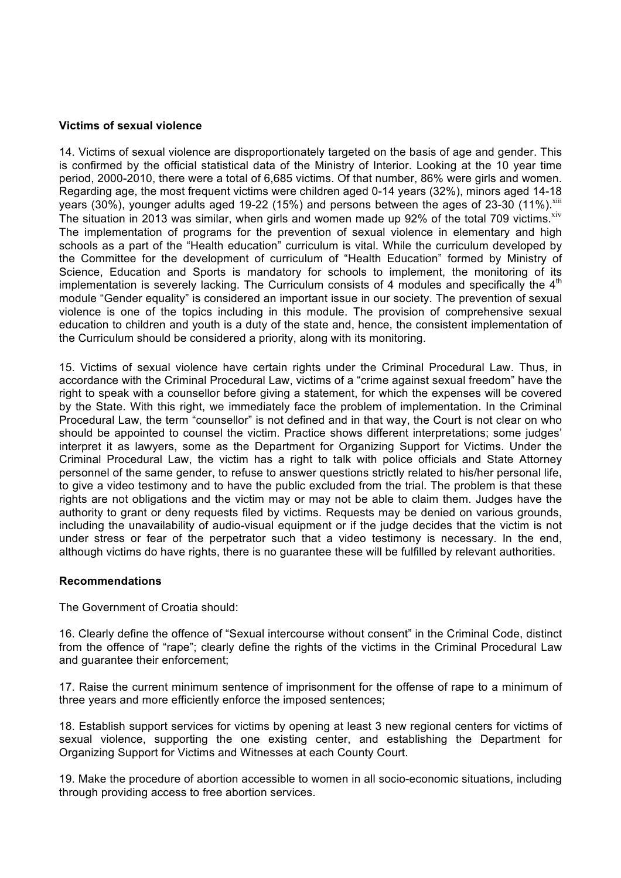## **Victims of sexual violence**

14. Victims of sexual violence are disproportionately targeted on the basis of age and gender. This is confirmed by the official statistical data of the Ministry of Interior. Looking at the 10 year time period, 2000-2010, there were a total of 6,685 victims. Of that number, 86% were girls and women. Regarding age, the most frequent victims were children aged 0-14 years (32%), minors aged 14-18 years (30%), younger adults aged 19-22 (15%) and persons between the ages of 23-30 (11%). $xiii$ The situation in 2013 was similar, when girls and women made up 92% of the total 709 victims. $xiv$ The implementation of programs for the prevention of sexual violence in elementary and high schools as a part of the "Health education" curriculum is vital. While the curriculum developed by the Committee for the development of curriculum of "Health Education" formed by Ministry of Science, Education and Sports is mandatory for schools to implement, the monitoring of its implementation is severely lacking. The Curriculum consists of 4 modules and specifically the  $4<sup>th</sup>$ module "Gender equality" is considered an important issue in our society. The prevention of sexual violence is one of the topics including in this module. The provision of comprehensive sexual education to children and youth is a duty of the state and, hence, the consistent implementation of the Curriculum should be considered a priority, along with its monitoring.

15. Victims of sexual violence have certain rights under the Criminal Procedural Law. Thus, in accordance with the Criminal Procedural Law, victims of a "crime against sexual freedom" have the right to speak with a counsellor before giving a statement, for which the expenses will be covered by the State. With this right, we immediately face the problem of implementation. In the Criminal Procedural Law, the term "counsellor" is not defined and in that way, the Court is not clear on who should be appointed to counsel the victim. Practice shows different interpretations; some judges' interpret it as lawyers, some as the Department for Organizing Support for Victims. Under the Criminal Procedural Law, the victim has a right to talk with police officials and State Attorney personnel of the same gender, to refuse to answer questions strictly related to his/her personal life, to give a video testimony and to have the public excluded from the trial. The problem is that these rights are not obligations and the victim may or may not be able to claim them. Judges have the authority to grant or deny requests filed by victims. Requests may be denied on various grounds, including the unavailability of audio-visual equipment or if the judge decides that the victim is not under stress or fear of the perpetrator such that a video testimony is necessary. In the end, although victims do have rights, there is no guarantee these will be fulfilled by relevant authorities.

# **Recommendations**

The Government of Croatia should:

16. Clearly define the offence of "Sexual intercourse without consent" in the Criminal Code, distinct from the offence of "rape"; clearly define the rights of the victims in the Criminal Procedural Law and guarantee their enforcement;

17. Raise the current minimum sentence of imprisonment for the offense of rape to a minimum of three years and more efficiently enforce the imposed sentences;

18. Establish support services for victims by opening at least 3 new regional centers for victims of sexual violence, supporting the one existing center, and establishing the Department for Organizing Support for Victims and Witnesses at each County Court.

19. Make the procedure of abortion accessible to women in all socio-economic situations, including through providing access to free abortion services.